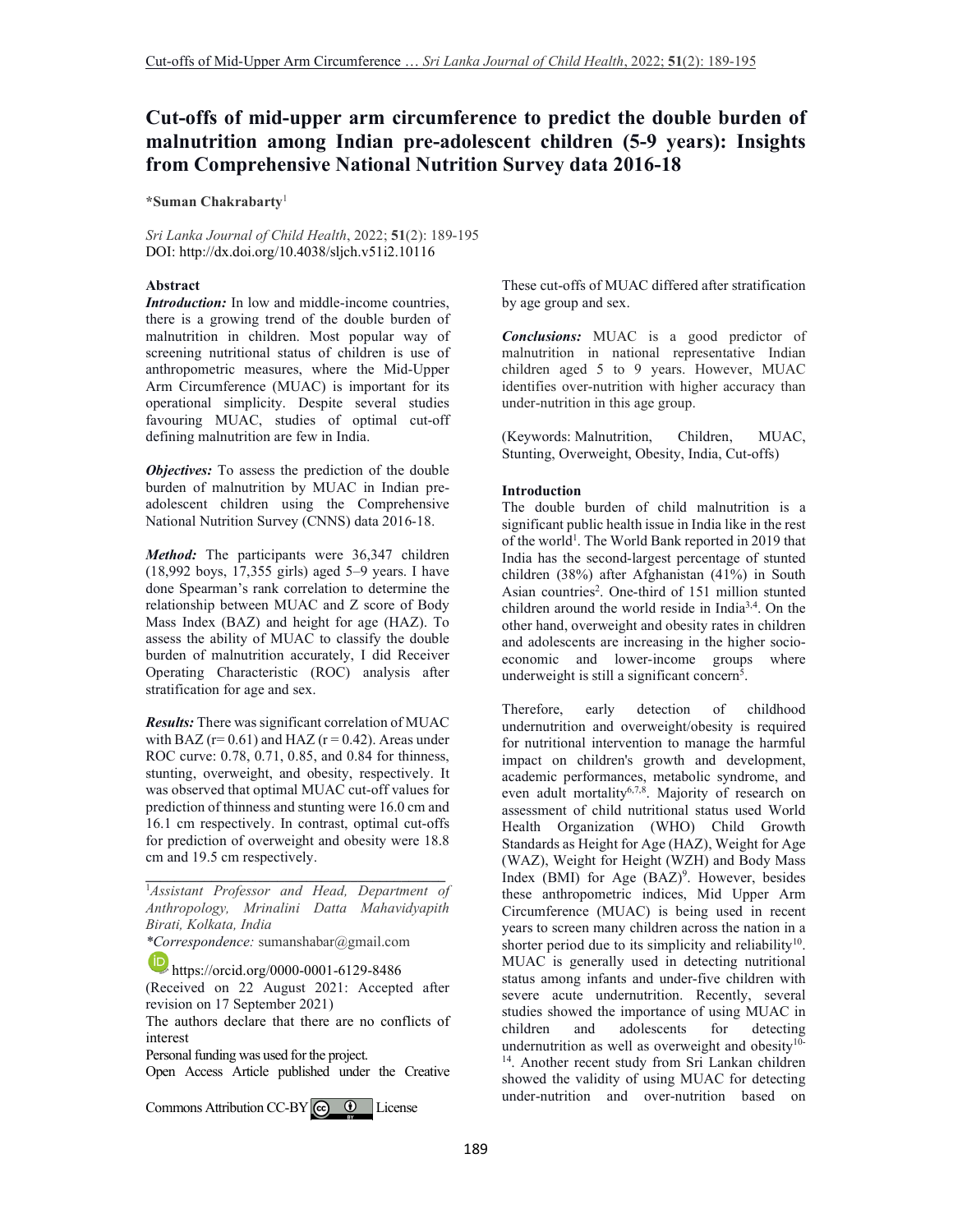# **Cut-offs of mid-upper arm circumference to predict the double burden of malnutrition among Indian pre-adolescent children (5-9 years): Insights from Comprehensive National Nutrition Survey data 2016-18**

**\*Suman Chakrabarty**<sup>1</sup>

*Sri Lanka Journal of Child Health*, 2022; **51**(2): 189-195 DOI: http://dx.doi.org/10.4038/sljch.v51i2.10116

### **Abstract**

*Introduction:* In low and middle-income countries, there is a growing trend of the double burden of malnutrition in children. Most popular way of screening nutritional status of children is use of anthropometric measures, where the Mid-Upper Arm Circumference (MUAC) is important for its operational simplicity. Despite several studies favouring MUAC, studies of optimal cut-off defining malnutrition are few in India.

*Objectives:* To assess the prediction of the double burden of malnutrition by MUAC in Indian preadolescent children using the Comprehensive National Nutrition Survey (CNNS) data 2016-18.

*Method:* The participants were 36,347 children (18,992 boys, 17,355 girls) aged 5–9 years. I have done Spearman's rank correlation to determine the relationship between MUAC and Z score of Body Mass Index (BAZ) and height for age (HAZ). To assess the ability of MUAC to classify the double burden of malnutrition accurately, I did Receiver Operating Characteristic (ROC) analysis after stratification for age and sex.

*Results:* There was significant correlation of MUAC with BAZ ( $r= 0.61$ ) and HAZ ( $r = 0.42$ ). Areas under ROC curve: 0.78, 0.71, 0.85, and 0.84 for thinness, stunting, overweight, and obesity, respectively. It was observed that optimal MUAC cut-off values for prediction of thinness and stunting were 16.0 cm and 16.1 cm respectively. In contrast, optimal cut-offs for prediction of overweight and obesity were 18.8 cm and 19.5 cm respectively.

<sup>1</sup>*Assistant Professor and Head, Department of Anthropology, Mrinalini Datta Mahavidyapith Birati, Kolkata, India*

**\_\_\_\_\_\_\_\_\_\_\_\_\_\_\_\_\_\_\_\_\_\_\_\_\_\_\_\_\_\_\_\_\_\_\_\_\_\_\_\_\_** 

*\*Correspondence:* sumanshabar@gmail.com

**https://orcid.org/0000-0001-6129-8486** 

(Received on 22 August 2021: Accepted after revision on 17 September 2021)

The authors declare that there are no conflicts of interest

Personal funding was used for the project.

Open Access Article published under the Creative

CommonsAttribution CC-BY  $\left[\begin{array}{cc} \text{(c)} & \text{(d)} \end{array}\right]$  License

These cut-offs of MUAC differed after stratification by age group and sex.

*Conclusions:* MUAC is a good predictor of malnutrition in national representative Indian children aged 5 to 9 years. However, MUAC identifies over-nutrition with higher accuracy than under-nutrition in this age group.

(Keywords: Malnutrition, Children, MUAC, Stunting, Overweight, Obesity, India, Cut-offs)

### **Introduction**

The double burden of child malnutrition is a significant public health issue in India like in the rest of the world<sup>1</sup>. The World Bank reported in 2019 that India has the second-largest percentage of stunted children (38%) after Afghanistan (41%) in South Asian countries<sup>2</sup>. One-third of 151 million stunted children around the world reside in India3,4. On the other hand, overweight and obesity rates in children and adolescents are increasing in the higher socioeconomic and lower-income groups where underweight is still a significant concern<sup>5</sup>.

Therefore, early detection of childhood undernutrition and overweight/obesity is required for nutritional intervention to manage the harmful impact on children's growth and development, academic performances, metabolic syndrome, and even adult mortality<sup>6,7,8</sup>. Majority of research on assessment of child nutritional status used World Health Organization (WHO) Child Growth Standards as Height for Age (HAZ), Weight for Age (WAZ), Weight for Height (WZH) and Body Mass Index (BMI) for Age (BAZ)<sup>9</sup>. However, besides these anthropometric indices, Mid Upper Arm Circumference (MUAC) is being used in recent years to screen many children across the nation in a shorter period due to its simplicity and reliability $10$ . MUAC is generally used in detecting nutritional status among infants and under-five children with severe acute undernutrition. Recently, several studies showed the importance of using MUAC in children and adolescents for detecting and adolescents for detecting undernutrition as well as overweight and obesity $10$ -<sup>14</sup>. Another recent study from Sri Lankan children showed the validity of using MUAC for detecting under-nutrition and over-nutrition based on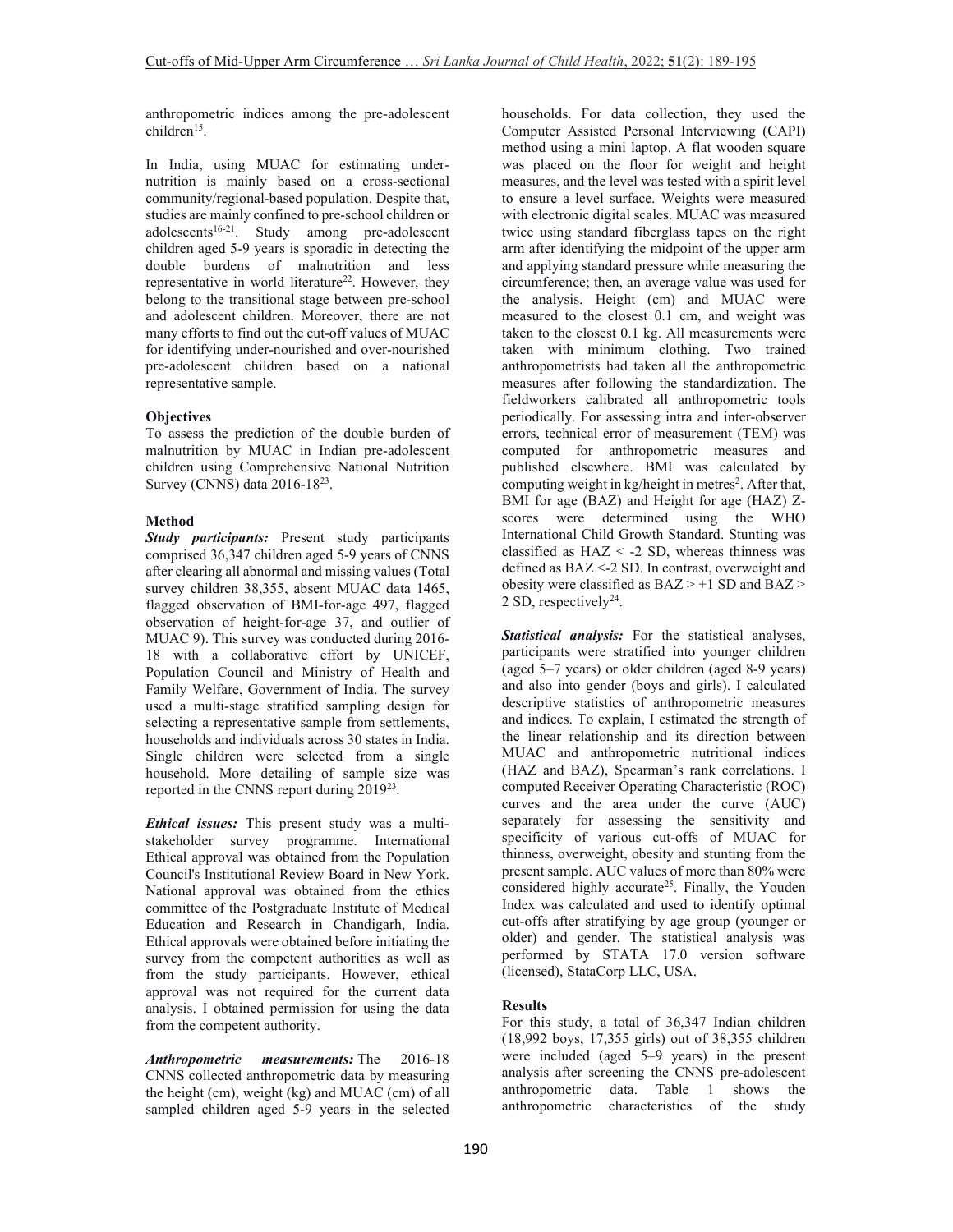anthropometric indices among the pre-adolescent children<sup>15</sup>.

In India, using MUAC for estimating undernutrition is mainly based on a cross-sectional community/regional-based population. Despite that, studies are mainly confined to pre-school children or adolescents<sup>16-21</sup>. Study among pre-adolescent children aged 5-9 years is sporadic in detecting the double burdens of malnutrition and less representative in world literature<sup>22</sup>. However, they belong to the transitional stage between pre-school and adolescent children. Moreover, there are not many efforts to find out the cut-off values of MUAC for identifying under-nourished and over-nourished pre-adolescent children based on a national representative sample.

# **Objectives**

To assess the prediction of the double burden of malnutrition by MUAC in Indian pre-adolescent children using Comprehensive National Nutrition Survey (CNNS) data 2016-18<sup>23</sup>.

### **Method**

*Study participants:* Present study participants comprised 36,347 children aged 5-9 years of CNNS after clearing all abnormal and missing values (Total survey children 38,355, absent MUAC data 1465, flagged observation of BMI-for-age 497, flagged observation of height-for-age 37, and outlier of MUAC 9). This survey was conducted during 2016- 18 with a collaborative effort by UNICEF, Population Council and Ministry of Health and Family Welfare, Government of India. The survey used a multi-stage stratified sampling design for selecting a representative sample from settlements, households and individuals across 30 states in India. Single children were selected from a single household. More detailing of sample size was reported in the CNNS report during 2019<sup>23</sup>.

*Ethical issues:* This present study was a multistakeholder survey programme. International Ethical approval was obtained from the Population Council's Institutional Review Board in New York. National approval was obtained from the ethics committee of the Postgraduate Institute of Medical Education and Research in Chandigarh, India. Ethical approvals were obtained before initiating the survey from the competent authorities as well as from the study participants. However, ethical approval was not required for the current data analysis. I obtained permission for using the data from the competent authority.

*Anthropometric measurements:* The 2016-18 CNNS collected anthropometric data by measuring the height (cm), weight (kg) and MUAC (cm) of all sampled children aged 5-9 years in the selected

households. For data collection, they used the Computer Assisted Personal Interviewing (CAPI) method using a mini laptop. A flat wooden square was placed on the floor for weight and height measures, and the level was tested with a spirit level to ensure a level surface. Weights were measured with electronic digital scales. MUAC was measured twice using standard fiberglass tapes on the right arm after identifying the midpoint of the upper arm and applying standard pressure while measuring the circumference; then, an average value was used for the analysis. Height (cm) and MUAC were measured to the closest 0.1 cm, and weight was taken to the closest 0.1 kg. All measurements were taken with minimum clothing. Two trained anthropometrists had taken all the anthropometric measures after following the standardization. The fieldworkers calibrated all anthropometric tools periodically. For assessing intra and inter-observer errors, technical error of measurement (TEM) was computed for anthropometric measures and published elsewhere. BMI was calculated by computing weight in kg/height in metres<sup>2</sup>. After that, BMI for age (BAZ) and Height for age (HAZ) Zscores were determined using the WHO International Child Growth Standard. Stunting was classified as  $HAZ < -2$  SD, whereas thinness was defined as BAZ <-2 SD. In contrast, overweight and obesity were classified as  $BAZ > +1$  SD and  $BAZ >$ 2 SD, respectively $2<sup>4</sup>$ .

*Statistical analysis:* For the statistical analyses, participants were stratified into younger children (aged 5–7 years) or older children (aged 8-9 years) and also into gender (boys and girls). I calculated descriptive statistics of anthropometric measures and indices. To explain, I estimated the strength of the linear relationship and its direction between MUAC and anthropometric nutritional indices (HAZ and BAZ), Spearman's rank correlations. I computed Receiver Operating Characteristic (ROC) curves and the area under the curve (AUC) separately for assessing the sensitivity and specificity of various cut-offs of MUAC for thinness, overweight, obesity and stunting from the present sample. AUC values of more than 80% were considered highly accurate<sup>25</sup>. Finally, the Youden Index was calculated and used to identify optimal cut-offs after stratifying by age group (younger or older) and gender. The statistical analysis was performed by STATA 17.0 version software (licensed), StataCorp LLC, USA.

# **Results**

For this study, a total of 36,347 Indian children (18,992 boys, 17,355 girls) out of 38,355 children were included (aged 5–9 years) in the present analysis after screening the CNNS pre-adolescent anthropometric data. Table 1 shows the anthropometric characteristics of the study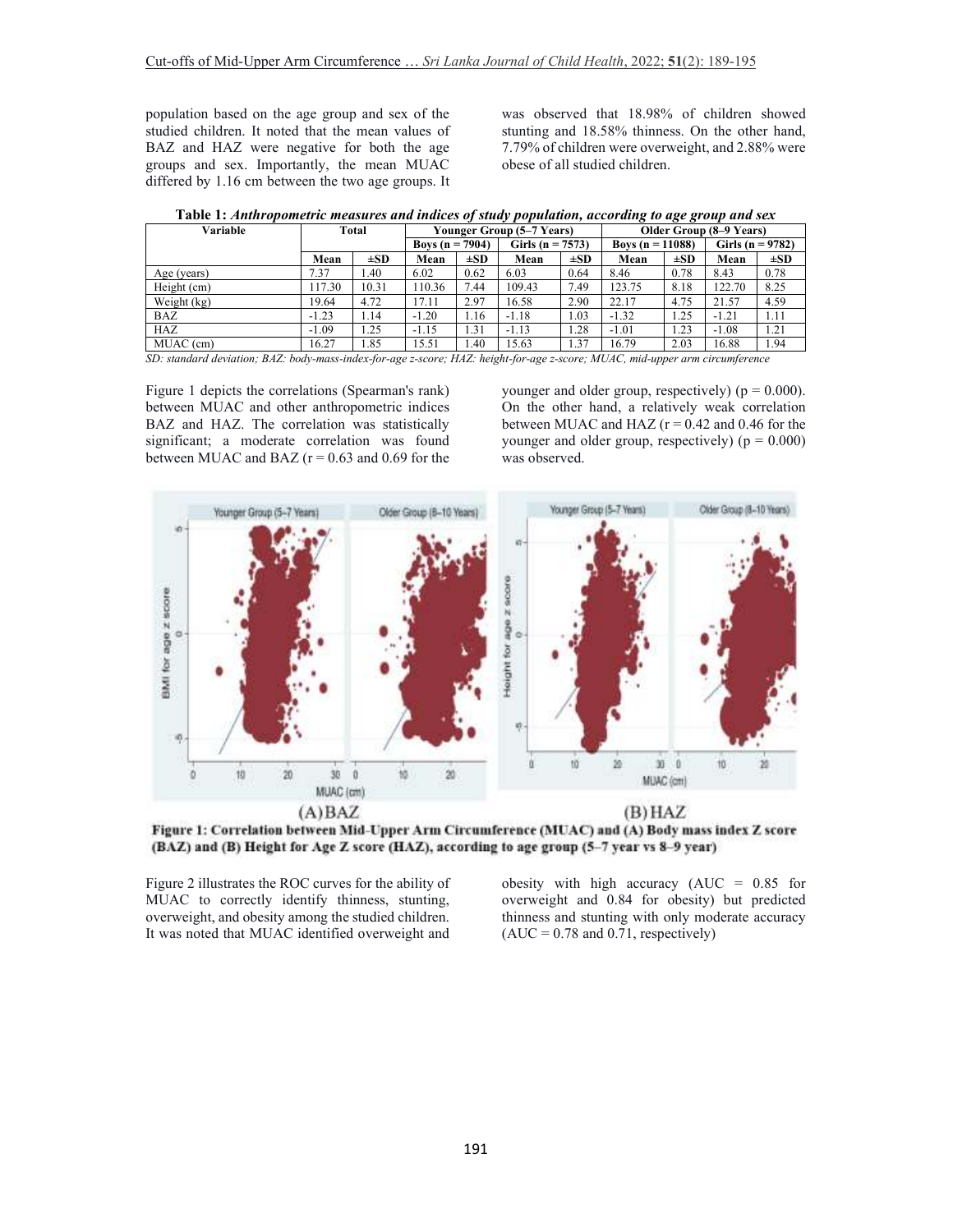population based on the age group and sex of the studied children. It noted that the mean values of BAZ and HAZ were negative for both the age groups and sex. Importantly, the mean MUAC differed by 1.16 cm between the two age groups. It was observed that 18.98% of children showed stunting and 18.58% thinness. On the other hand, 7.79% of children were overweight, and 2.88% were obese of all studied children.

| Variable    | Total   |          | was recommodulate measures and marces of simily population, according to age group and sen<br>Younger Group (5–7 Years) |          |                      |          | Older Group (8–9 Years) |          |                      |          |
|-------------|---------|----------|-------------------------------------------------------------------------------------------------------------------------|----------|----------------------|----------|-------------------------|----------|----------------------|----------|
|             |         |          | <b>Boys</b> $(n = 7904)$                                                                                                |          | Girls ( $n = 7573$ ) |          | Boys $(n = 11088)$      |          | Girls ( $n = 9782$ ) |          |
|             | Mean    | $\pm SD$ | Mean                                                                                                                    | $\pm SD$ | Mean                 | $\pm SD$ | Mean                    | $\pm SD$ | Mean                 | $\pm SD$ |
| Age (years) | 7.37    | 1.40     | 6.02                                                                                                                    | 0.62     | 6.03                 | 0.64     | 8.46                    | 0.78     | 8.43                 | 0.78     |
| Height (cm) | 117.30  | 10.31    | 110.36                                                                                                                  | 7.44     | 109.43               | 7.49     | 123.75                  | 8.18     | 122.70               | 8.25     |
| Weight (kg) | 19.64   | 4.72     | 17.11                                                                                                                   | 2.97     | 16.58                | 2.90     | 22.17                   | 4.75     | 21.57                | 4.59     |
| <b>BAZ</b>  | $-1.23$ | 1.14     | $-1.20$                                                                                                                 | 1.16     | $-1.18$              | 1.03     | $-1.32$                 | 1.25     | $-1.21$              | 1.11     |
| HAZ         | $-1.09$ | 1.25     | $-1.15$                                                                                                                 | 1.31     | $-1.13$              | 1.28     | $-1.01$                 | 1.23     | $-1.08$              | 1.21     |
| MUAC (cm)   | 16.27   | 1.85     | 15.51                                                                                                                   | .40      | 15.63                | 1.37     | 16.79                   | 2.03     | 16.88                | 1.94     |

*SD: standard deviation; BAZ: body-mass-index-for-age z-score; HAZ: height-for-age z-score; MUAC, mid-upper arm circumference* 

Figure 1 depicts the correlations (Spearman's rank) between MUAC and other anthropometric indices BAZ and HAZ. The correlation was statistically significant; a moderate correlation was found between MUAC and BAZ ( $r = 0.63$  and 0.69 for the

younger and older group, respectively) ( $p = 0.000$ ). On the other hand, a relatively weak correlation between MUAC and HAZ ( $r = 0.42$  and 0.46 for the younger and older group, respectively)  $(p = 0.000)$ was observed.



Figure 1: Correlation between Mid-Upper Arm Circumference (MUAC) and (A) Body mass index Z score (BAZ) and (B) Height for Age Z score (HAZ), according to age group (5-7 year vs 8-9 year)

Figure 2 illustrates the ROC curves for the ability of MUAC to correctly identify thinness, stunting, overweight, and obesity among the studied children. It was noted that MUAC identified overweight and obesity with high accuracy  $(AUC = 0.85$  for overweight and 0.84 for obesity) but predicted thinness and stunting with only moderate accuracy  $(AUC = 0.78$  and  $0.71$ , respectively)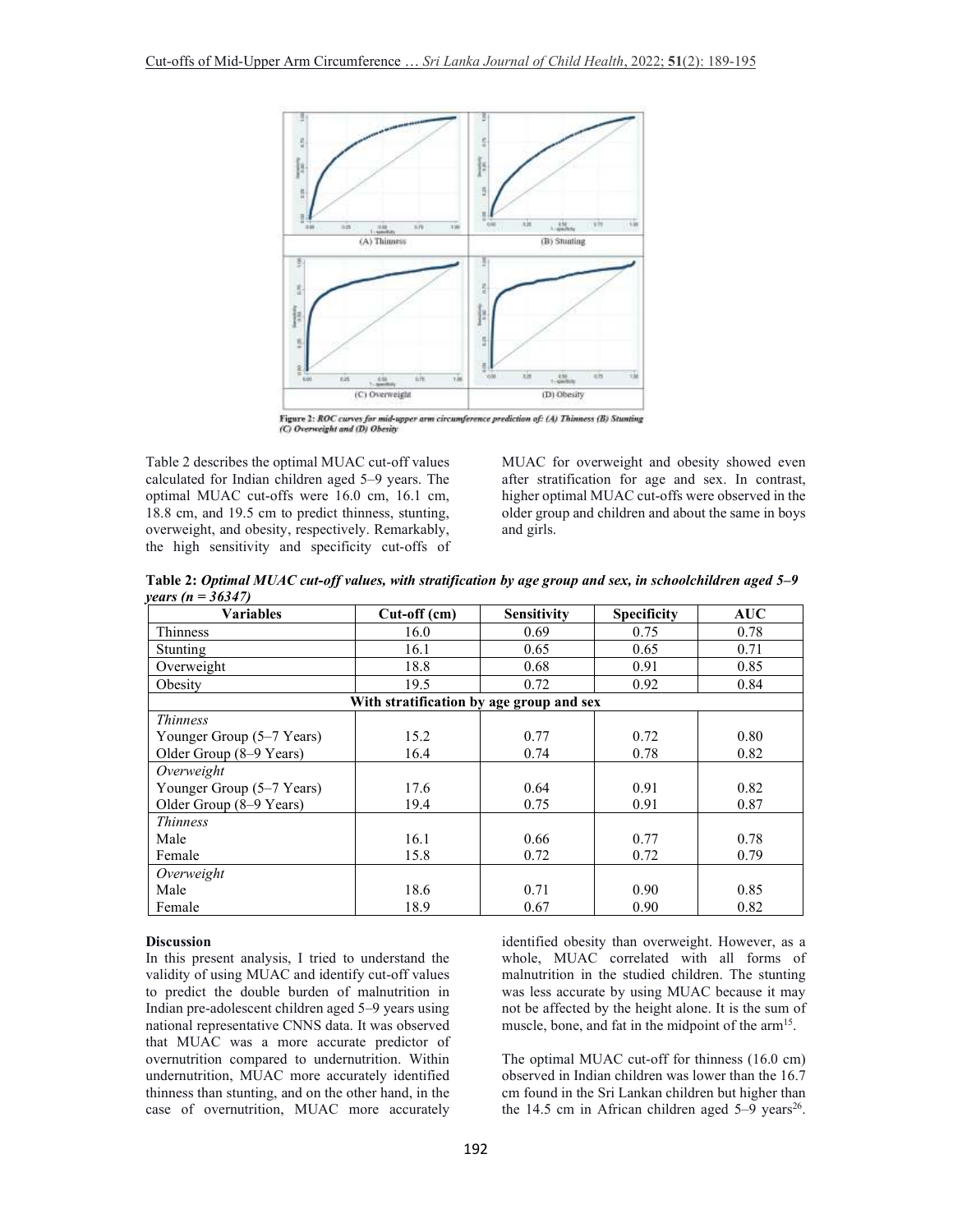

Figure 2: ROC curves for mid-upper arm circumference prediction of: (A) Thinness (B) Stunting (C) Overweight and (D) Obesity

Table 2 describes the optimal MUAC cut-off values calculated for Indian children aged 5–9 years. The optimal MUAC cut-offs were 16.0 cm, 16.1 cm, 18.8 cm, and 19.5 cm to predict thinness, stunting, overweight, and obesity, respectively. Remarkably, the high sensitivity and specificity cut-offs of MUAC for overweight and obesity showed even after stratification for age and sex. In contrast, higher optimal MUAC cut-offs were observed in the older group and children and about the same in boys and girls.

**Table 2:** *Optimal MUAC cut-off values, with stratification by age group and sex, in schoolchildren aged 5–9 years (n = 36347)* 

| <b>Variables</b>                         | Cut-off (cm) | <b>Sensitivity</b> | <b>Specificity</b> | <b>AUC</b> |  |  |  |  |  |  |
|------------------------------------------|--------------|--------------------|--------------------|------------|--|--|--|--|--|--|
| Thinness                                 | 16.0         | 0.69               | 0.75               | 0.78       |  |  |  |  |  |  |
| Stunting                                 | 16.1         | 0.65               | 0.65               | 0.71       |  |  |  |  |  |  |
| Overweight                               | 18.8         | 0.68               | 0.91               | 0.85       |  |  |  |  |  |  |
| Obesity                                  | 19.5         | 0.72               | 0.92               | 0.84       |  |  |  |  |  |  |
| With stratification by age group and sex |              |                    |                    |            |  |  |  |  |  |  |
| <i>Thinness</i>                          |              |                    |                    |            |  |  |  |  |  |  |
| Younger Group (5–7 Years)                | 15.2         | 0.77               | 0.72               | 0.80       |  |  |  |  |  |  |
| Older Group (8–9 Years)                  | 16.4         | 0.74               | 0.78               | 0.82       |  |  |  |  |  |  |
| Overweight                               |              |                    |                    |            |  |  |  |  |  |  |
| Younger Group (5–7 Years)                | 17.6         | 0.64               | 0.91               | 0.82       |  |  |  |  |  |  |
| Older Group (8-9 Years)                  | 19.4         | 0.75               | 0.91               | 0.87       |  |  |  |  |  |  |
| <i>Thinness</i>                          |              |                    |                    |            |  |  |  |  |  |  |
| Male                                     | 16.1         | 0.66               | 0.77               | 0.78       |  |  |  |  |  |  |
| Female                                   | 15.8         | 0.72               | 0.72               | 0.79       |  |  |  |  |  |  |
| Overweight                               |              |                    |                    |            |  |  |  |  |  |  |
| Male                                     | 18.6         | 0.71               | 0.90               | 0.85       |  |  |  |  |  |  |
| Female                                   | 18.9         | 0.67               | 0.90               | 0.82       |  |  |  |  |  |  |

#### **Discussion**

In this present analysis, I tried to understand the validity of using MUAC and identify cut-off values to predict the double burden of malnutrition in Indian pre-adolescent children aged 5–9 years using national representative CNNS data. It was observed that MUAC was a more accurate predictor of overnutrition compared to undernutrition. Within undernutrition, MUAC more accurately identified thinness than stunting, and on the other hand, in the case of overnutrition, MUAC more accurately

identified obesity than overweight. However, as a whole, MUAC correlated with all forms of malnutrition in the studied children. The stunting was less accurate by using MUAC because it may not be affected by the height alone. It is the sum of muscle, bone, and fat in the midpoint of the  $arm<sup>15</sup>$ .

The optimal MUAC cut-off for thinness (16.0 cm) observed in Indian children was lower than the 16.7 cm found in the Sri Lankan children but higher than the 14.5 cm in African children aged  $5-9$  years<sup>26</sup>.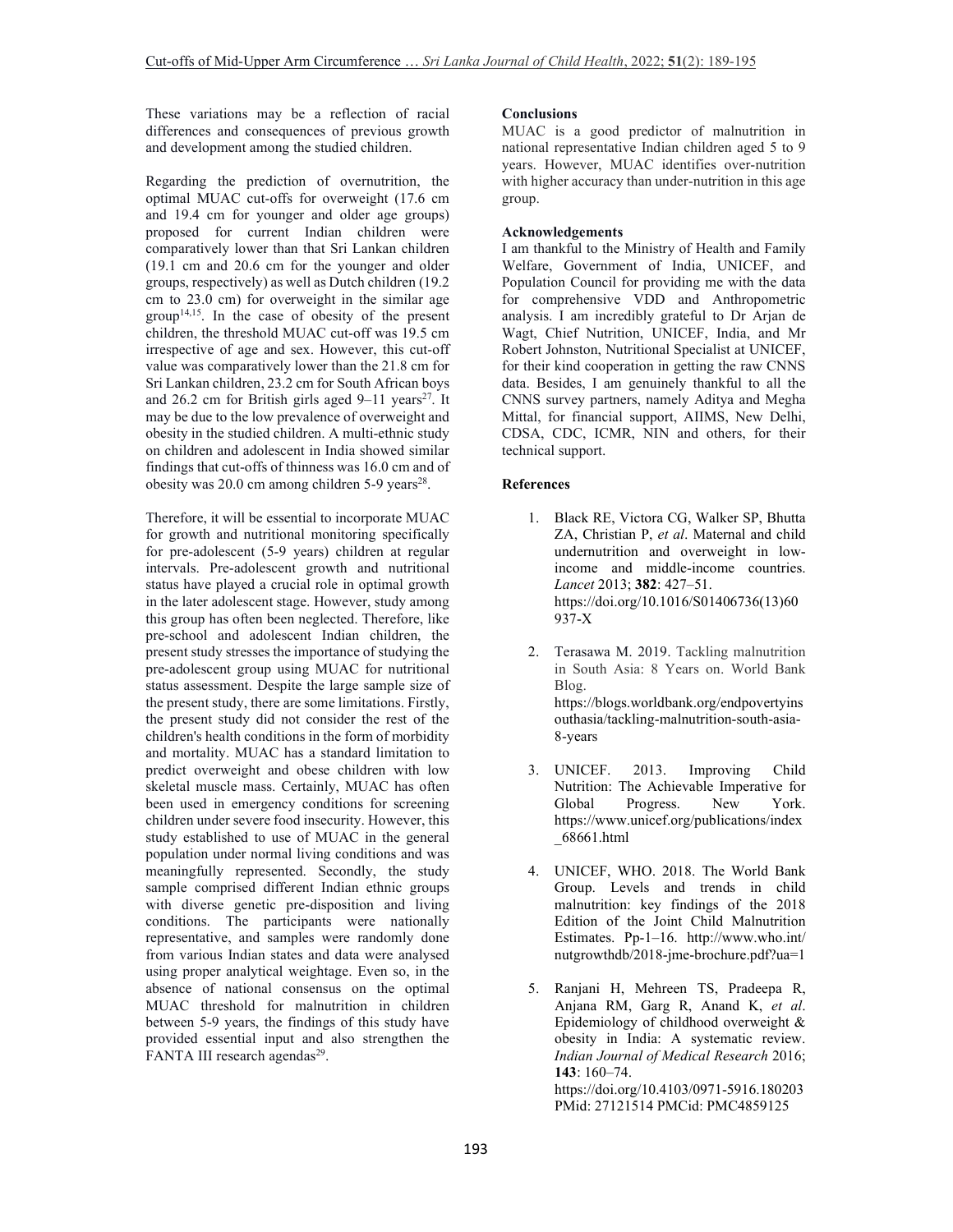These variations may be a reflection of racial differences and consequences of previous growth and development among the studied children.

Regarding the prediction of overnutrition, the optimal MUAC cut-offs for overweight (17.6 cm and 19.4 cm for younger and older age groups) proposed for current Indian children were comparatively lower than that Sri Lankan children (19.1 cm and 20.6 cm for the younger and older groups, respectively) as well as Dutch children (19.2 cm to  $23.0$  cm) for overweight in the similar age group<sup>14,15</sup>. In the case of obesity of the present children, the threshold MUAC cut-off was 19.5 cm irrespective of age and sex. However, this cut-off value was comparatively lower than the 21.8 cm for Sri Lankan children, 23.2 cm for South African boys and 26.2 cm for British girls aged  $9-11$  years<sup>27</sup>. It may be due to the low prevalence of overweight and obesity in the studied children. A multi-ethnic study on children and adolescent in India showed similar findings that cut-offs of thinness was 16.0 cm and of obesity was  $20.0$  cm among children  $5-9$  years<sup>28</sup>.

Therefore, it will be essential to incorporate MUAC for growth and nutritional monitoring specifically for pre-adolescent (5-9 years) children at regular intervals. Pre-adolescent growth and nutritional status have played a crucial role in optimal growth in the later adolescent stage. However, study among this group has often been neglected. Therefore, like pre-school and adolescent Indian children, the present study stresses the importance of studying the pre-adolescent group using MUAC for nutritional status assessment. Despite the large sample size of the present study, there are some limitations. Firstly, the present study did not consider the rest of the children's health conditions in the form of morbidity and mortality. MUAC has a standard limitation to predict overweight and obese children with low skeletal muscle mass. Certainly, MUAC has often been used in emergency conditions for screening children under severe food insecurity. However, this study established to use of MUAC in the general population under normal living conditions and was meaningfully represented. Secondly, the study sample comprised different Indian ethnic groups with diverse genetic pre-disposition and living conditions. The participants were nationally representative, and samples were randomly done from various Indian states and data were analysed using proper analytical weightage. Even so, in the absence of national consensus on the optimal MUAC threshold for malnutrition in children between 5-9 years, the findings of this study have provided essential input and also strengthen the FANTA III research agendas<sup>29</sup>.

### **Conclusions**

MUAC is a good predictor of malnutrition in national representative Indian children aged 5 to 9 years. However, MUAC identifies over-nutrition with higher accuracy than under-nutrition in this age group.

### **Acknowledgements**

I am thankful to the Ministry of Health and Family Welfare, Government of India, UNICEF, and Population Council for providing me with the data for comprehensive VDD and Anthropometric analysis. I am incredibly grateful to Dr Arjan de Wagt, Chief Nutrition, UNICEF, India, and Mr Robert Johnston, Nutritional Specialist at UNICEF, for their kind cooperation in getting the raw CNNS data. Besides, I am genuinely thankful to all the CNNS survey partners, namely Aditya and Megha Mittal, for financial support, AIIMS, New Delhi, CDSA, CDC, ICMR, NIN and others, for their technical support.

#### **References**

8-years

- 1. Black RE, Victora CG, Walker SP, Bhutta ZA, Christian P, *et al*. Maternal and child undernutrition and overweight in lowincome and middle-income countries. *Lancet* 2013; **382**: 427–51. https://doi.org/10.1016/S01406736(13)60 937-X
- 2. Terasawa M. 2019. Tackling malnutrition in South Asia: 8 Years on. World Bank Blog. https://blogs.worldbank.org/endpovertyins outhasia/tackling-malnutrition-south-asia-
- 3. UNICEF. 2013. Improving Child Nutrition: The Achievable Imperative for<br>Global Progress. New York. Global Progress. New York. https://www.unicef.org/publications/index \_68661.html
- 4. UNICEF, WHO. 2018. The World Bank Group. Levels and trends in child malnutrition: key findings of the 2018 Edition of the Joint Child Malnutrition Estimates. Pp-1–16. http://www.who.int/ nutgrowthdb/2018-jme-brochure.pdf?ua=1
- 5. Ranjani H, Mehreen TS, Pradeepa R, Anjana RM, Garg R, Anand K, *et al*. Epidemiology of childhood overweight & obesity in India: A systematic review. *Indian Journal of Medical Research* 2016; **143**: 160–74. https://doi.org/10.4103/0971-5916.180203 PMid: 27121514 PMCid: PMC4859125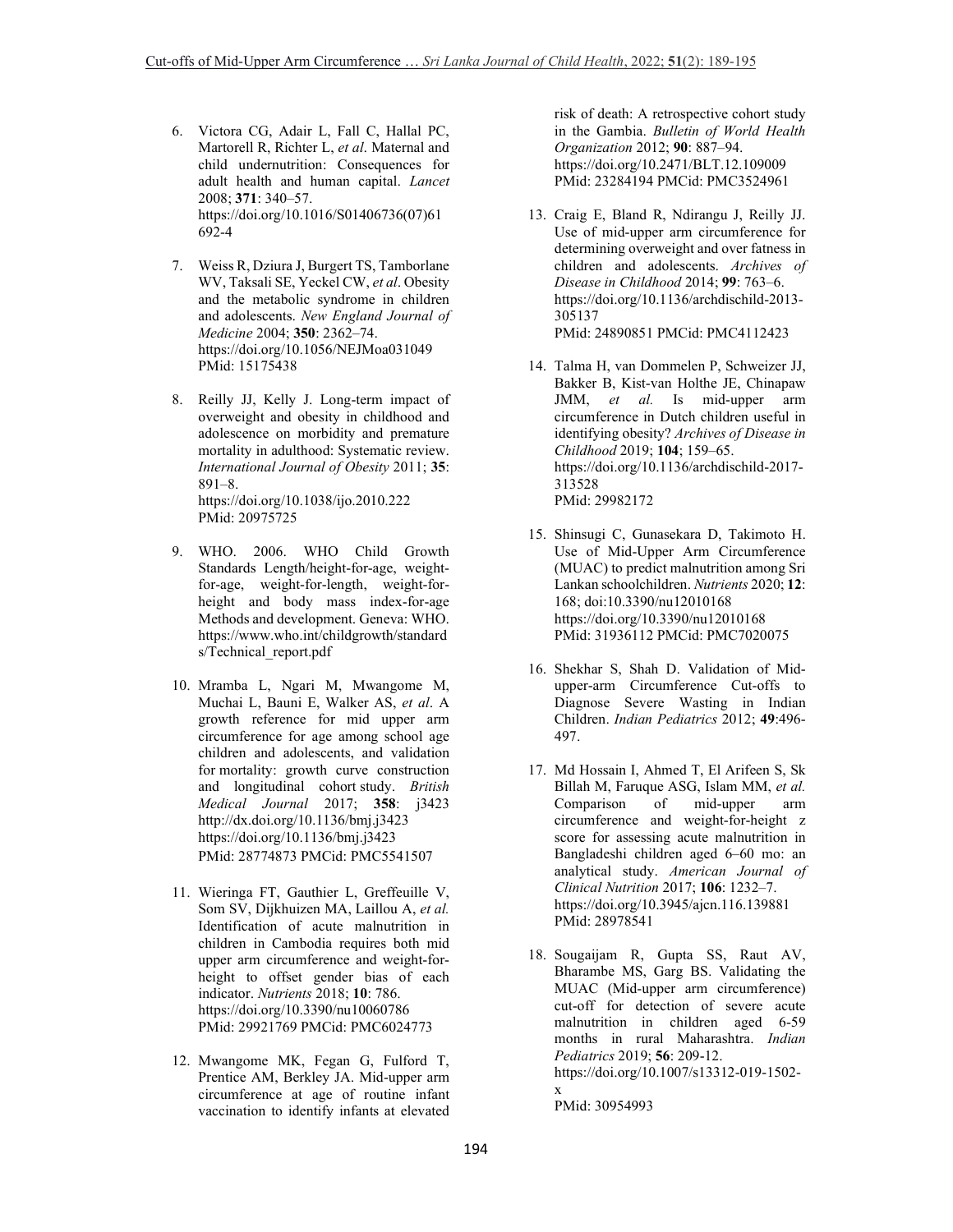- 6. Victora CG, Adair L, Fall C, Hallal PC, Martorell R, Richter L, *et al*. Maternal and child undernutrition: Consequences for adult health and human capital. *Lancet* 2008; **371**: 340–57. https://doi.org/10.1016/S01406736(07)61 692-4
- 7. Weiss R, Dziura J, Burgert TS, Tamborlane WV, Taksali SE, Yeckel CW, *et al*. Obesity and the metabolic syndrome in children and adolescents. *New England Journal of Medicine* 2004; **350**: 2362–74. https://doi.org/10.1056/NEJMoa031049 PMid: 15175438
- 8. Reilly JJ, Kelly J. Long-term impact of overweight and obesity in childhood and adolescence on morbidity and premature mortality in adulthood: Systematic review. *International Journal of Obesity* 2011; **35**: 891–8. https://doi.org/10.1038/ijo.2010.222 PMid: 20975725
- 9. WHO. 2006. WHO Child Growth Standards Length/height-for-age, weightfor-age, weight-for-length, weight-forheight and body mass index-for-age Methods and development. Geneva: WHO. https://www.who.int/childgrowth/standard s/Technical report.pdf
- 10. Mramba L, Ngari M, Mwangome M, Muchai L, Bauni E, Walker AS, *et al*. A growth reference for mid upper arm circumference for age among school age children and adolescents, and validation for mortality: growth curve construction and longitudinal cohort study. *British Medical Journal* 2017; **358**: j3423 http://dx.doi.org/10.1136/bmj.j3423 https://doi.org/10.1136/bmj.j3423 PMid: 28774873 PMCid: PMC5541507
- 11. Wieringa FT, Gauthier L, Greffeuille V, Som SV, Dijkhuizen MA, Laillou A, *et al.* Identification of acute malnutrition in children in Cambodia requires both mid upper arm circumference and weight-forheight to offset gender bias of each indicator. *Nutrients* 2018; **10**: 786. https://doi.org/10.3390/nu10060786 PMid: 29921769 PMCid: PMC6024773
- 12. Mwangome MK, Fegan G, Fulford T, Prentice AM, Berkley JA. Mid-upper arm circumference at age of routine infant vaccination to identify infants at elevated

risk of death: A retrospective cohort study in the Gambia. *Bulletin of World Health Organization* 2012; **90**: 887–94. https://doi.org/10.2471/BLT.12.109009 PMid: 23284194 PMCid: PMC3524961

- 13. Craig E, Bland R, Ndirangu J, Reilly JJ. Use of mid-upper arm circumference for determining overweight and over fatness in children and adolescents. *Archives of Disease in Childhood* 2014; **99**: 763–6. https://doi.org/10.1136/archdischild-2013- 305137 PMid: 24890851 PMCid: PMC4112423
- 14. Talma H, van Dommelen P, Schweizer JJ, Bakker B, Kist-van Holthe JE, Chinapaw JMM, *et al.* Is mid-upper arm circumference in Dutch children useful in identifying obesity? *Archives of Disease in Childhood* 2019; **104**; 159–65. https://doi.org/10.1136/archdischild-2017- 313528 PMid: 29982172
- 15. Shinsugi C, Gunasekara D, Takimoto H. Use of Mid-Upper Arm Circumference (MUAC) to predict malnutrition among Sri Lankan schoolchildren. *Nutrients* 2020; **12**: 168; doi:10.3390/nu12010168 https://doi.org/10.3390/nu12010168 PMid: 31936112 PMCid: PMC7020075
- 16. Shekhar S, Shah D. Validation of Midupper-arm Circumference Cut-offs to Diagnose Severe Wasting in Indian Children. *Indian Pediatrics* 2012; **49**:496- 497.
- 17. Md Hossain I, Ahmed T, El Arifeen S, Sk Billah M, Faruque ASG, Islam MM, *et al.*<br>Comparison of mid-upper arm Comparison of mid-upper arm circumference and weight-for-height z score for assessing acute malnutrition in Bangladeshi children aged 6–60 mo: an analytical study. *American Journal of Clinical Nutrition* 2017; **106**: 1232–7. https://doi.org/10.3945/ajcn.116.139881 PMid: 28978541
- 18. Sougaijam R, Gupta SS, Raut AV, Bharambe MS, Garg BS. Validating the MUAC (Mid-upper arm circumference) cut-off for detection of severe acute malnutrition in children aged 6-59 months in rural Maharashtra. *Indian Pediatrics* 2019; **56**: 209-12. https://doi.org/10.1007/s13312-019-1502 x PMid: 30954993